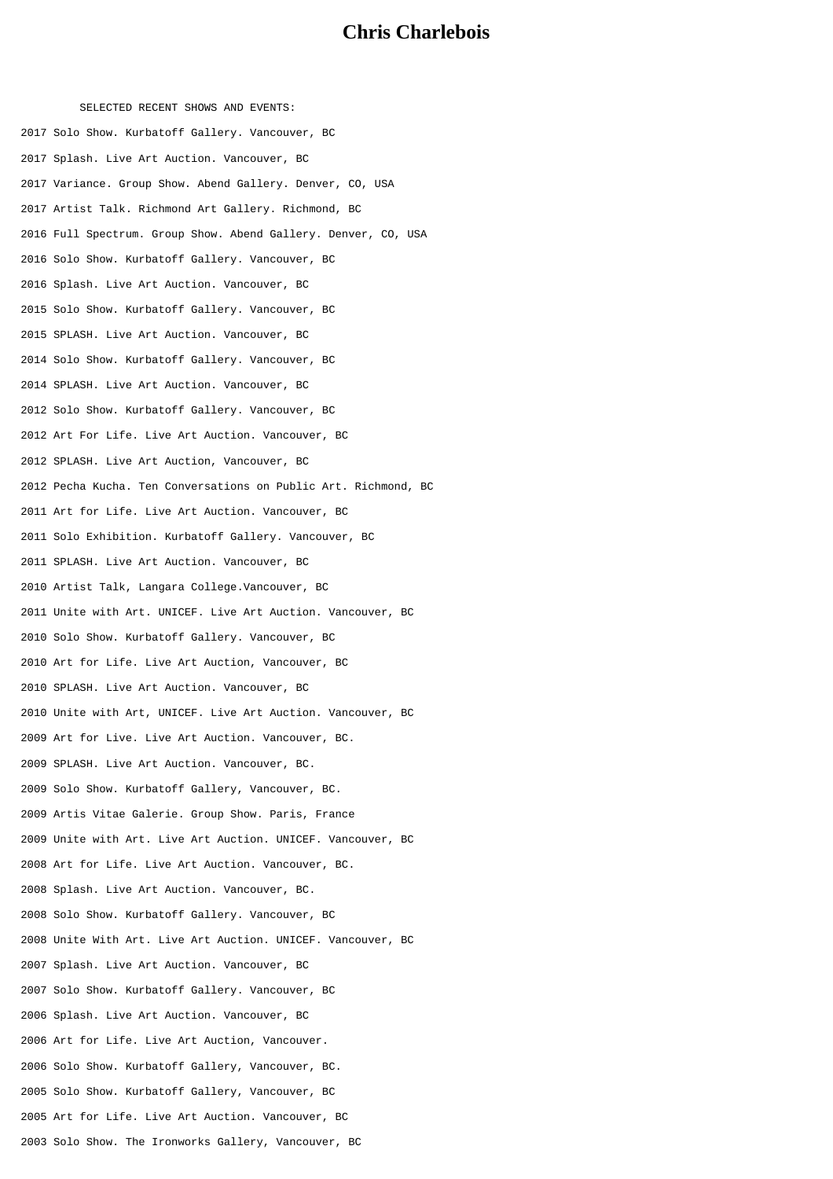## **Chris Charlebois**

SELECTED RECENT SHOWS AND EVENTS: Solo Show. Kurbatoff Gallery. Vancouver, BC Splash. Live Art Auction. Vancouver, BC Variance. Group Show. Abend Gallery. Denver, CO, USA Artist Talk. Richmond Art Gallery. Richmond, BC Full Spectrum. Group Show. Abend Gallery. Denver, CO, USA Solo Show. Kurbatoff Gallery. Vancouver, BC Splash. Live Art Auction. Vancouver, BC Solo Show. Kurbatoff Gallery. Vancouver, BC SPLASH. Live Art Auction. Vancouver, BC Solo Show. Kurbatoff Gallery. Vancouver, BC SPLASH. Live Art Auction. Vancouver, BC Solo Show. Kurbatoff Gallery. Vancouver, BC Art For Life. Live Art Auction. Vancouver, BC SPLASH. Live Art Auction, Vancouver, BC Pecha Kucha. Ten Conversations on Public Art. Richmond, BC Art for Life. Live Art Auction. Vancouver, BC Solo Exhibition. Kurbatoff Gallery. Vancouver, BC SPLASH. Live Art Auction. Vancouver, BC Artist Talk, Langara College.Vancouver, BC Unite with Art. UNICEF. Live Art Auction. Vancouver, BC Solo Show. Kurbatoff Gallery. Vancouver, BC Art for Life. Live Art Auction, Vancouver, BC SPLASH. Live Art Auction. Vancouver, BC Unite with Art, UNICEF. Live Art Auction. Vancouver, BC Art for Live. Live Art Auction. Vancouver, BC. SPLASH. Live Art Auction. Vancouver, BC. Solo Show. Kurbatoff Gallery, Vancouver, BC. Artis Vitae Galerie. Group Show. Paris, France Unite with Art. Live Art Auction. UNICEF. Vancouver, BC Art for Life. Live Art Auction. Vancouver, BC. Splash. Live Art Auction. Vancouver, BC. Solo Show. Kurbatoff Gallery. Vancouver, BC Unite With Art. Live Art Auction. UNICEF. Vancouver, BC Splash. Live Art Auction. Vancouver, BC Solo Show. Kurbatoff Gallery. Vancouver, BC Splash. Live Art Auction. Vancouver, BC Art for Life. Live Art Auction, Vancouver. Solo Show. Kurbatoff Gallery, Vancouver, BC. Solo Show. Kurbatoff Gallery, Vancouver, BC Art for Life. Live Art Auction. Vancouver, BC Solo Show. The Ironworks Gallery, Vancouver, BC